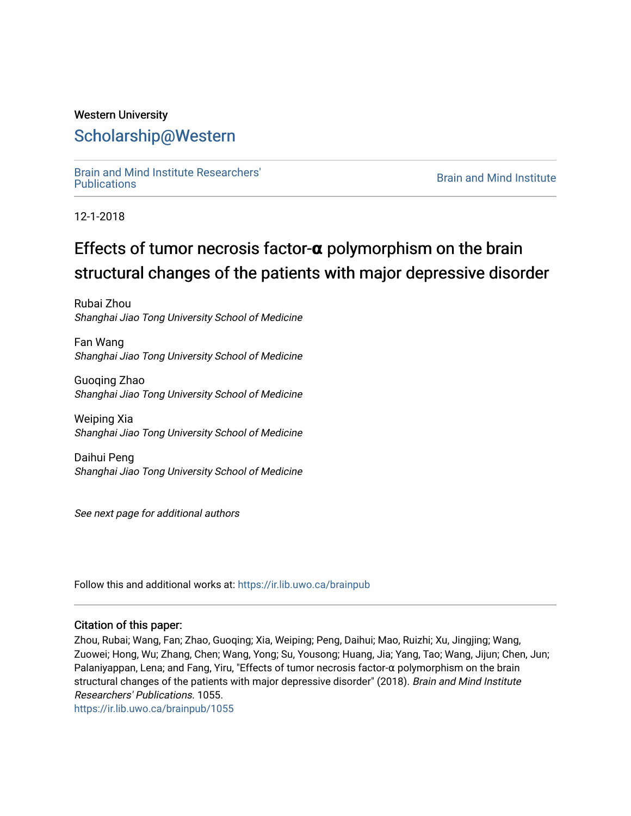# Western University [Scholarship@Western](https://ir.lib.uwo.ca/)

[Brain and Mind Institute Researchers'](https://ir.lib.uwo.ca/brainpub) 

**Brain and Mind Institute** 

12-1-2018

# Effects of tumor necrosis factor-**α** polymorphism on the brain structural changes of the patients with major depressive disorder

Rubai Zhou Shanghai Jiao Tong University School of Medicine

Fan Wang Shanghai Jiao Tong University School of Medicine

Guoqing Zhao Shanghai Jiao Tong University School of Medicine

Weiping Xia Shanghai Jiao Tong University School of Medicine

Daihui Peng Shanghai Jiao Tong University School of Medicine

See next page for additional authors

Follow this and additional works at: [https://ir.lib.uwo.ca/brainpub](https://ir.lib.uwo.ca/brainpub?utm_source=ir.lib.uwo.ca%2Fbrainpub%2F1055&utm_medium=PDF&utm_campaign=PDFCoverPages)

## Citation of this paper:

Zhou, Rubai; Wang, Fan; Zhao, Guoqing; Xia, Weiping; Peng, Daihui; Mao, Ruizhi; Xu, Jingjing; Wang, Zuowei; Hong, Wu; Zhang, Chen; Wang, Yong; Su, Yousong; Huang, Jia; Yang, Tao; Wang, Jijun; Chen, Jun; Palaniyappan, Lena; and Fang, Yiru, "Effects of tumor necrosis factor-α polymorphism on the brain structural changes of the patients with major depressive disorder" (2018). Brain and Mind Institute Researchers' Publications. 1055.

[https://ir.lib.uwo.ca/brainpub/1055](https://ir.lib.uwo.ca/brainpub/1055?utm_source=ir.lib.uwo.ca%2Fbrainpub%2F1055&utm_medium=PDF&utm_campaign=PDFCoverPages)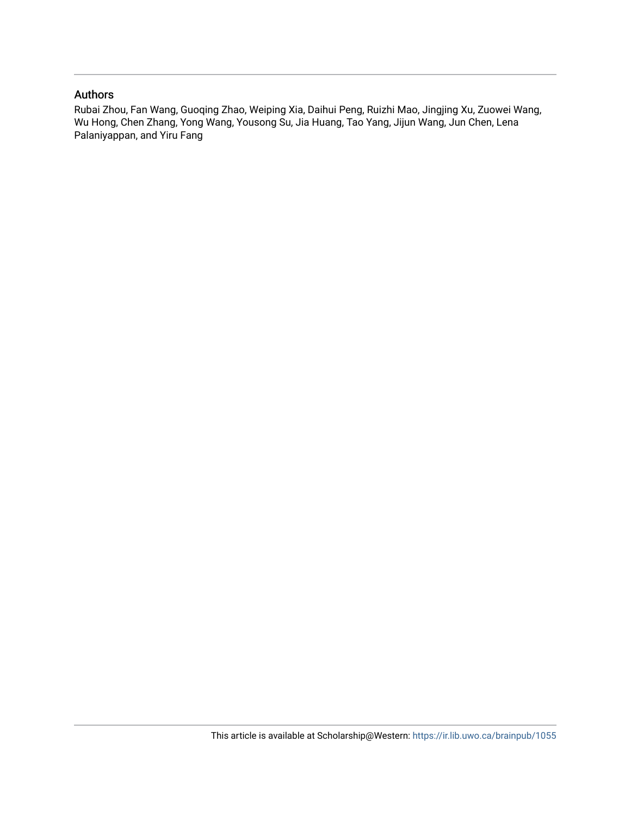## Authors

Rubai Zhou, Fan Wang, Guoqing Zhao, Weiping Xia, Daihui Peng, Ruizhi Mao, Jingjing Xu, Zuowei Wang, Wu Hong, Chen Zhang, Yong Wang, Yousong Su, Jia Huang, Tao Yang, Jijun Wang, Jun Chen, Lena Palaniyappan, and Yiru Fang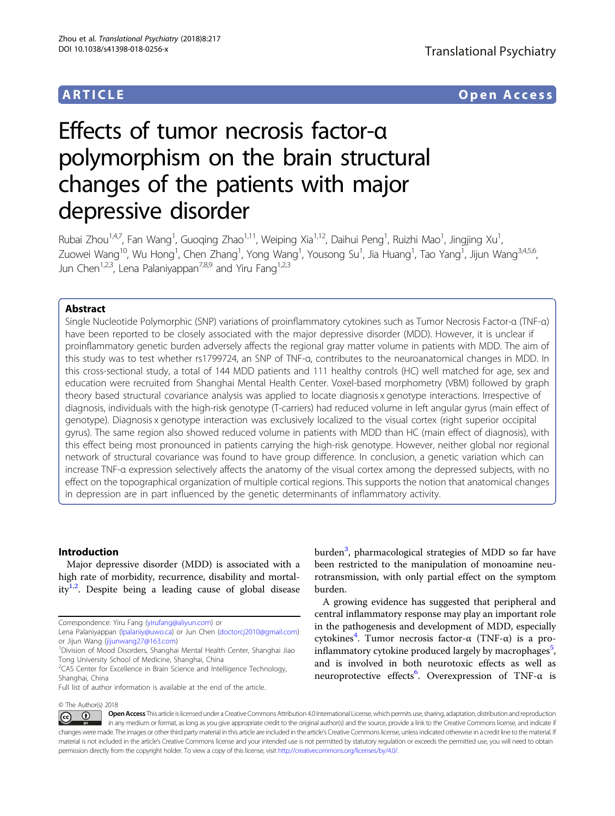# ARTICLE Open Access

# Effects of tumor necrosis factor-α polymorphism on the brain structural changes of the patients with major depressive disorder

Rubai Zhou<sup>1,4,7</sup>, Fan Wang<sup>1</sup>, Guoqing Zhao<sup>1,11</sup>, Weiping Xia<sup>1,12</sup>, Daihui Peng<sup>1</sup>, Ruizhi Mao<sup>1</sup>, Jingjing Xu<sup>1</sup> , Zuowei Wang<sup>10</sup>, Wu Hong<sup>1</sup>, Chen Zhang<sup>1</sup>, Yong Wang<sup>1</sup>, Yousong Su<sup>1</sup>, Jia Huang<sup>1</sup>, Tao Yang<sup>1</sup>, Jijun Wang<sup>3,4,5,6</sup>, Jun Chen<sup>1,2,3</sup>, Lena Palaniyappan<sup>7,8,9</sup> and Yiru Fang<sup>1,2,3</sup>

### Abstract

Single Nucleotide Polymorphic (SNP) variations of proinflammatory cytokines such as Tumor Necrosis Factor-α (TNF-α) have been reported to be closely associated with the major depressive disorder (MDD). However, it is unclear if proinflammatory genetic burden adversely affects the regional gray matter volume in patients with MDD. The aim of this study was to test whether rs1799724, an SNP of TNF-α, contributes to the neuroanatomical changes in MDD. In this cross-sectional study, a total of 144 MDD patients and 111 healthy controls (HC) well matched for age, sex and education were recruited from Shanghai Mental Health Center. Voxel-based morphometry (VBM) followed by graph theory based structural covariance analysis was applied to locate diagnosis x genotype interactions. Irrespective of diagnosis, individuals with the high-risk genotype (T-carriers) had reduced volume in left angular gyrus (main effect of genotype). Diagnosis x genotype interaction was exclusively localized to the visual cortex (right superior occipital gyrus). The same region also showed reduced volume in patients with MDD than HC (main effect of diagnosis), with this effect being most pronounced in patients carrying the high-risk genotype. However, neither global nor regional network of structural covariance was found to have group difference. In conclusion, a genetic variation which can increase TNF-α expression selectively affects the anatomy of the visual cortex among the depressed subjects, with no effect on the topographical organization of multiple cortical regions. This supports the notion that anatomical changes in depression are in part influenced by the genetic determinants of inflammatory activity.

#### Introduction

Major depressive disorder (MDD) is associated with a high rate of morbidity, recurrence, disability and mortal-ity<sup>[1,2](#page-9-0)</sup>. Despite being a leading cause of global disease

© The Author(s) 2018

burden<sup>[3](#page-9-0)</sup>, pharmacological strategies of MDD so far have been restricted to the manipulation of monoamine neurotransmission, with only partial effect on the symptom burden.

A growing evidence has suggested that peripheral and central inflammatory response may play an important role in the pathogenesis and development of MDD, especially cytokines[4](#page-9-0) . Tumor necrosis factor-α (TNF-α) is a pro-inflammatory cytokine produced largely by macrophages<sup>[5](#page-9-0)</sup>, and is involved in both neurotoxic effects as well as neuroprotective effects<sup>[6](#page-9-0)</sup>. Overexpression of TNF-α is

Open Access This article is licensed under a Creative Commons Attribution 4.0 International License, which permits use, sharing, adaptation, distribution and reproduction  $\overline{\text{c}}$   $\overline{\text{c}}$ in any medium or format, as long as you give appropriate credit to the original author(s) and the source, provide a link to the Creative Commons license, and indicate if changes were made. The images or other third party material in this article are included in the article's Creative Commons license, unless indicated otherwise in a credit line to the material. If material is not included in the article's Creative Commons license and your intended use is not permitted by statutory regulation or exceeds the permitted use, you will need to obtain permission directly from the copyright holder. To view a copy of this license, visit <http://creativecommons.org/licenses/by/4.0/>.

Correspondence: Yiru Fang ([yirufang@aliyun.com\)](mailto:yirufang@aliyun.com) or

Lena Palaniyappan [\(lpalaniy@uwo.ca\)](mailto:lpalaniy@uwo.ca) or Jun Chen ([doctorcj2010@gmail.com](mailto:doctorcj2010@gmail.com)) or Jijun Wang [\(jijunwang27@163.com](mailto:jijunwang27@163.com))

Division of Mood Disorders, Shanghai Mental Health Center, Shanghai Jiao Tong University School of Medicine, Shanghai, China

<sup>&</sup>lt;sup>2</sup>CAS Center for Excellence in Brain Science and Intelligence Technology, Shanghai, China

Full list of author information is available at the end of the article.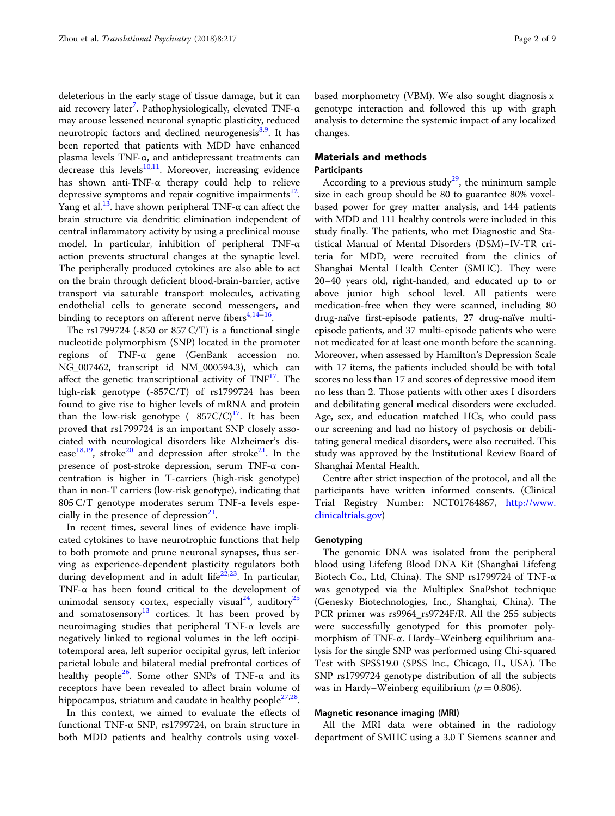deleterious in the early stage of tissue damage, but it can aid recovery later<sup>[7](#page-9-0)</sup>. Pathophysiologically, elevated TNF-α may arouse lessened neuronal synaptic plasticity, reduced neurotropic factors and declined neurogenesis<sup>[8,9](#page-9-0)</sup>. It has been reported that patients with MDD have enhanced plasma levels TNF-α, and antidepressant treatments can decrease this levels $10,11$ . Moreover, increasing evidence has shown anti-TNF-α therapy could help to relieve depressive symptoms and repair cognitive impairments $12$ . Yang et al.<sup>13</sup>. have shown peripheral TNF-α can affect the brain structure via dendritic elimination independent of central inflammatory activity by using a preclinical mouse model. In particular, inhibition of peripheral TNF-α action prevents structural changes at the synaptic level. The peripherally produced cytokines are also able to act on the brain through deficient blood-brain-barrier, active transport via saturable transport molecules, activating endothelial cells to generate second messengers, and binding to receptors on afferent nerve fibers $4,14-16$  $4,14-16$  $4,14-16$ .

The  $rs1799724$  (-850 or 857 C/T) is a functional single nucleotide polymorphism (SNP) located in the promoter regions of TNF-α gene (GenBank accession no. NG\_007462, transcript id NM\_000594.3), which can affect the genetic transcriptional activity of  $TNF<sup>17</sup>$  $TNF<sup>17</sup>$  $TNF<sup>17</sup>$ . The high-risk genotype (-857C/T) of rs1799724 has been found to give rise to higher levels of mRNA and protein than the low-risk genotype  $(-857C/C)^{17}$  $(-857C/C)^{17}$  $(-857C/C)^{17}$ . It has been proved that rs1799724 is an important SNP closely associated with neurological disorders like Alzheimer's dis-ease<sup>18,19</sup>, stroke<sup>[20](#page-9-0)</sup> and depression after stroke<sup>[21](#page-9-0)</sup>. In the presence of post-stroke depression, serum TNF-α concentration is higher in T-carriers (high-risk genotype) than in non-T carriers (low-risk genotype), indicating that 805 C/T genotype moderates serum TNF-a levels especially in the presence of depression $^{21}$ .

In recent times, several lines of evidence have implicated cytokines to have neurotrophic functions that help to both promote and prune neuronal synapses, thus serving as experience-dependent plasticity regulators both during development and in adult life $^{22,23}$ . In particular, TNF-α has been found critical to the development of unimodal sensory cortex, especially visual<sup>[24](#page-9-0)</sup>, auditory<sup>25</sup> and somatosensory $13$  cortices. It has been proved by neuroimaging studies that peripheral TNF-α levels are negatively linked to regional volumes in the left occipitotemporal area, left superior occipital gyrus, left inferior parietal lobule and bilateral medial prefrontal cortices of healthy people<sup>[26](#page-9-0)</sup>. Some other SNPs of TNF- $\alpha$  and its receptors have been revealed to affect brain volume of hippocampus, striatum and caudate in healthy people<sup>[27,28](#page-9-0)</sup>.

In this context, we aimed to evaluate the effects of functional TNF-α SNP, rs1799724, on brain structure in both MDD patients and healthy controls using voxelbased morphometry (VBM). We also sought diagnosis x genotype interaction and followed this up with graph analysis to determine the systemic impact of any localized changes.

# Materials and methods

#### **Participants**

According to a previous study<sup>29</sup>, the minimum sample size in each group should be 80 to guarantee 80% voxelbased power for grey matter analysis, and 144 patients with MDD and 111 healthy controls were included in this study finally. The patients, who met Diagnostic and Statistical Manual of Mental Disorders (DSM)–IV-TR criteria for MDD, were recruited from the clinics of Shanghai Mental Health Center (SMHC). They were 20–40 years old, right-handed, and educated up to or above junior high school level. All patients were medication-free when they were scanned, including 80 drug-naïve first-episode patients, 27 drug-naïve multiepisode patients, and 37 multi-episode patients who were not medicated for at least one month before the scanning. Moreover, when assessed by Hamilton's Depression Scale with 17 items, the patients included should be with total scores no less than 17 and scores of depressive mood item no less than 2. Those patients with other axes I disorders and debilitating general medical disorders were excluded. Age, sex, and education matched HCs, who could pass our screening and had no history of psychosis or debilitating general medical disorders, were also recruited. This study was approved by the Institutional Review Board of Shanghai Mental Health.

Centre after strict inspection of the protocol, and all the participants have written informed consents. (Clinical Trial Registry Number: NCT01764867, [http://www.](http://www.clinicaltrials.gov) [clinicaltrials.gov\)](http://www.clinicaltrials.gov)

#### Genotyping

The genomic DNA was isolated from the peripheral blood using Lifefeng Blood DNA Kit (Shanghai Lifefeng Biotech Co., Ltd, China). The SNP rs1799724 of TNF-α was genotyped via the Multiplex SnaPshot technique (Genesky Biotechnologies, Inc., Shanghai, China). The PCR primer was rs9964\_rs9724F/R. All the 255 subjects were successfully genotyped for this promoter polymorphism of TNF-α. Hardy–Weinberg equilibrium analysis for the single SNP was performed using Chi-squared Test with SPSS19.0 (SPSS Inc., Chicago, IL, USA). The SNP rs1799724 genotype distribution of all the subjects was in Hardy–Weinberg equilibrium ( $p = 0.806$ ).

#### Magnetic resonance imaging (MRI)

All the MRI data were obtained in the radiology department of SMHC using a 3.0 T Siemens scanner and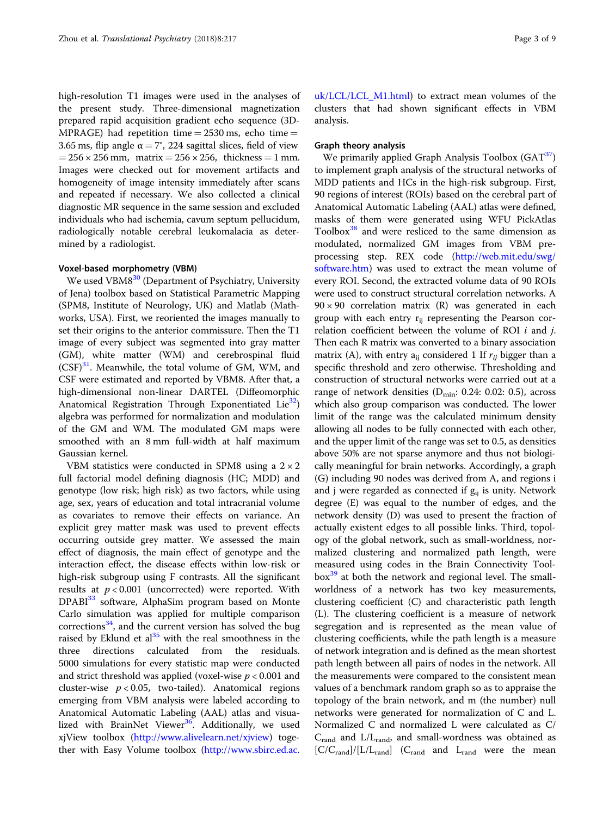high-resolution T1 images were used in the analyses of the present study. Three-dimensional magnetization prepared rapid acquisition gradient echo sequence (3D-MPRAGE) had repetition time  $= 2530$  ms, echo time  $=$ 3.65 ms, flip angle  $\alpha = 7^{\circ}$ , 224 sagittal slices, field of view  $= 256 \times 256$  mm, matrix  $= 256 \times 256$ , thickness  $= 1$  mm. Images were checked out for movement artifacts and homogeneity of image intensity immediately after scans and repeated if necessary. We also collected a clinical diagnostic MR sequence in the same session and excluded individuals who had ischemia, cavum septum pellucidum, radiologically notable cerebral leukomalacia as determined by a radiologist.

#### Voxel-based morphometry (VBM)

We used VBM8<sup>[30](#page-9-0)</sup> (Department of Psychiatry, University of Jena) toolbox based on Statistical Parametric Mapping (SPM8, Institute of Neurology, UK) and Matlab (Mathworks, USA). First, we reoriented the images manually to set their origins to the anterior commissure. Then the T1 image of every subject was segmented into gray matter (GM), white matter (WM) and cerebrospinal fluid  $(CSF)^{31}$  $(CSF)^{31}$  $(CSF)^{31}$ . Meanwhile, the total volume of GM, WM, and CSF were estimated and reported by VBM8. After that, a high-dimensional non-linear DARTEL (Diffeomorphic Anatomical Registration Through Exponentiated Lie<sup>[32](#page-9-0)</sup>) algebra was performed for normalization and modulation of the GM and WM. The modulated GM maps were smoothed with an 8 mm full-width at half maximum Gaussian kernel.

VBM statistics were conducted in SPM8 using a  $2 \times 2$ full factorial model defining diagnosis (HC; MDD) and genotype (low risk; high risk) as two factors, while using age, sex, years of education and total intracranial volume as covariates to remove their effects on variance. An explicit grey matter mask was used to prevent effects occurring outside grey matter. We assessed the main effect of diagnosis, the main effect of genotype and the interaction effect, the disease effects within low-risk or high-risk subgroup using F contrasts. All the significant results at  $p < 0.001$  (uncorrected) were reported. With DPABI<sup>[33](#page-9-0)</sup> software, AlphaSim program based on Monte Carlo simulation was applied for multiple comparison corrections $34$ , and the current version has solved the bug raised by Eklund et  $al^{35}$  $al^{35}$  $al^{35}$  with the real smoothness in the three directions calculated from the residuals. 5000 simulations for every statistic map were conducted and strict threshold was applied (voxel-wise  $p < 0.001$  and cluster-wise  $p < 0.05$ , two-tailed). Anatomical regions emerging from VBM analysis were labeled according to Anatomical Automatic Labeling (AAL) atlas and visua-lized with BrainNet Viewer<sup>[36](#page-9-0)</sup>. Additionally, we used xjView toolbox ([http://www.alivelearn.net/xjview\)](http://www.alivelearn.net/xjview) together with Easy Volume toolbox ([http://www.sbirc.ed.ac.](http://www.sbirc.ed.ac.uk/LCL/LCL_M1.html)

[uk/LCL/LCL\\_M1.html](http://www.sbirc.ed.ac.uk/LCL/LCL_M1.html)) to extract mean volumes of the clusters that had shown significant effects in VBM analysis.

#### Graph theory analysis

We primarily applied Graph Analysis Toolbox  $(GAT^{37})$  $(GAT^{37})$  $(GAT^{37})$ to implement graph analysis of the structural networks of MDD patients and HCs in the high-risk subgroup. First, 90 regions of interest (ROIs) based on the cerebral part of Anatomical Automatic Labeling (AAL) atlas were defined, masks of them were generated using WFU PickAtlas Toolbox<sup>[38](#page-9-0)</sup> and were resliced to the same dimension as modulated, normalized GM images from VBM preprocessing step. REX code ([http://web.mit.edu/swg/](http://web.mit.edu/swg/software.htm) [software.htm\)](http://web.mit.edu/swg/software.htm) was used to extract the mean volume of every ROI. Second, the extracted volume data of 90 ROIs were used to construct structural correlation networks. A  $90 \times 90$  correlation matrix (R) was generated in each group with each entry  $r_{ii}$  representing the Pearson correlation coefficient between the volume of ROI i and j. Then each R matrix was converted to a binary association matrix (A), with entry  $a_{ii}$  considered 1 If  $r_{ii}$  bigger than a specific threshold and zero otherwise. Thresholding and construction of structural networks were carried out at a range of network densities  $(D_{\text{min}}: 0.24: 0.02: 0.5)$ , across which also group comparison was conducted. The lower limit of the range was the calculated minimum density allowing all nodes to be fully connected with each other, and the upper limit of the range was set to 0.5, as densities above 50% are not sparse anymore and thus not biologically meaningful for brain networks. Accordingly, a graph (G) including 90 nodes was derived from A, and regions i and j were regarded as connected if  $g_{ii}$  is unity. Network degree (E) was equal to the number of edges, and the network density (D) was used to present the fraction of actually existent edges to all possible links. Third, topology of the global network, such as small-worldness, normalized clustering and normalized path length, were measured using codes in the Brain Connectivity Tool-box<sup>[39](#page-9-0)</sup> at both the network and regional level. The smallworldness of a network has two key measurements, clustering coefficient (C) and characteristic path length (L). The clustering coefficient is a measure of network segregation and is represented as the mean value of clustering coefficients, while the path length is a measure of network integration and is defined as the mean shortest path length between all pairs of nodes in the network. All the measurements were compared to the consistent mean values of a benchmark random graph so as to appraise the topology of the brain network, and m (the number) null networks were generated for normalization of C and L. Normalized C and normalized L were calculated as C/  $C_{rand}$  and  $L/L_{rand}$ , and small-wordness was obtained as  $[C/C_{rand}]/[L/L_{rand}]$  (C<sub>rand</sub> and L<sub>rand</sub> were the mean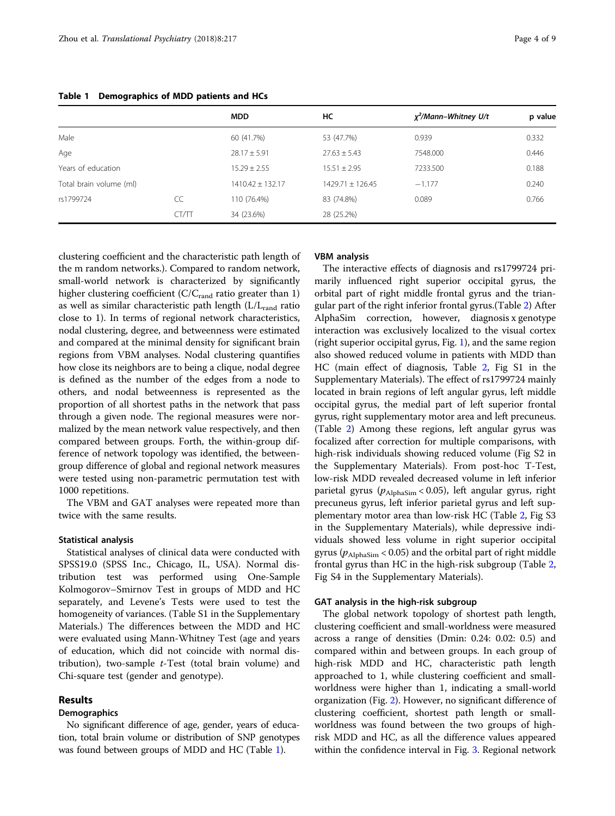Table 1 Demographics of MDD patients and HCs

|                         |       | <b>MDD</b>         | НC                 | $x^2$ /Mann-Whitney U/t | p value |
|-------------------------|-------|--------------------|--------------------|-------------------------|---------|
| Male                    |       | 60 (41.7%)         | 53 (47.7%)         | 0.939                   | 0.332   |
| Age                     |       | $28.17 \pm 5.91$   | $27.63 \pm 5.43$   | 7548,000                | 0.446   |
| Years of education      |       | $15.29 \pm 2.55$   | $15.51 + 2.95$     | 7233.500                | 0.188   |
| Total brain volume (ml) |       | $1410.42 + 132.17$ | $1429.71 + 126.45$ | $-1.177$                | 0.240   |
| rs1799724               | CC    | 110 (76.4%)        | 83 (74.8%)         | 0.089                   | 0.766   |
|                         | CT/TT | 34 (23.6%)         | 28 (25.2%)         |                         |         |

clustering coefficient and the characteristic path length of the m random networks.). Compared to random network, small-world network is characterized by significantly higher clustering coefficient ( $C/C_{rand}$  ratio greater than 1) as well as similar characteristic path length  $(L/L_{rand}$  ratio close to 1). In terms of regional network characteristics, nodal clustering, degree, and betweenness were estimated and compared at the minimal density for significant brain regions from VBM analyses. Nodal clustering quantifies how close its neighbors are to being a clique, nodal degree is defined as the number of the edges from a node to others, and nodal betweenness is represented as the proportion of all shortest paths in the network that pass through a given node. The regional measures were normalized by the mean network value respectively, and then compared between groups. Forth, the within-group difference of network topology was identified, the betweengroup difference of global and regional network measures were tested using non-parametric permutation test with 1000 repetitions.

The VBM and GAT analyses were repeated more than twice with the same results.

#### Statistical analysis

Statistical analyses of clinical data were conducted with SPSS19.0 (SPSS Inc., Chicago, IL, USA). Normal distribution test was performed using One-Sample Kolmogorov–Smirnov Test in groups of MDD and HC separately, and Levene's Tests were used to test the homogeneity of variances. (Table S1 in the Supplementary Materials.) The differences between the MDD and HC were evaluated using Mann-Whitney Test (age and years of education, which did not coincide with normal distribution), two-sample t-Test (total brain volume) and Chi-square test (gender and genotype).

#### Results

#### **Demographics**

No significant difference of age, gender, years of education, total brain volume or distribution of SNP genotypes was found between groups of MDD and HC (Table 1).

#### VBM analysis

The interactive effects of diagnosis and rs1799724 primarily influenced right superior occipital gyrus, the orbital part of right middle frontal gyrus and the triangular part of the right inferior frontal gyrus.(Table [2](#page-6-0)) After AlphaSim correction, however, diagnosis x genotype interaction was exclusively localized to the visual cortex (right superior occipital gyrus, Fig. [1\)](#page-7-0), and the same region also showed reduced volume in patients with MDD than HC (main effect of diagnosis, Table [2,](#page-6-0) Fig S1 in the Supplementary Materials). The effect of rs1799724 mainly located in brain regions of left angular gyrus, left middle occipital gyrus, the medial part of left superior frontal gyrus, right supplementary motor area and left precuneus. (Table [2](#page-6-0)) Among these regions, left angular gyrus was focalized after correction for multiple comparisons, with high-risk individuals showing reduced volume (Fig S2 in the Supplementary Materials). From post-hoc T-Test, low-risk MDD revealed decreased volume in left inferior parietal gyrus ( $p_{\text{Alphasim}}$  < 0.05), left angular gyrus, right precuneus gyrus, left inferior parietal gyrus and left supplementary motor area than low-risk HC (Table [2](#page-6-0), Fig S3 in the Supplementary Materials), while depressive individuals showed less volume in right superior occipital gyrus ( $p_{\text{Alphasim}}$  < 0.05) and the orbital part of right middle frontal gyrus than HC in the high-risk subgroup (Table [2](#page-6-0), Fig S4 in the Supplementary Materials).

#### GAT analysis in the high-risk subgroup

The global network topology of shortest path length, clustering coefficient and small-worldness were measured across a range of densities (Dmin: 0.24: 0.02: 0.5) and compared within and between groups. In each group of high-risk MDD and HC, characteristic path length approached to 1, while clustering coefficient and smallworldness were higher than 1, indicating a small-world organization (Fig. [2\)](#page-7-0). However, no significant difference of clustering coefficient, shortest path length or smallworldness was found between the two groups of highrisk MDD and HC, as all the difference values appeared within the confidence interval in Fig. [3](#page-8-0). Regional network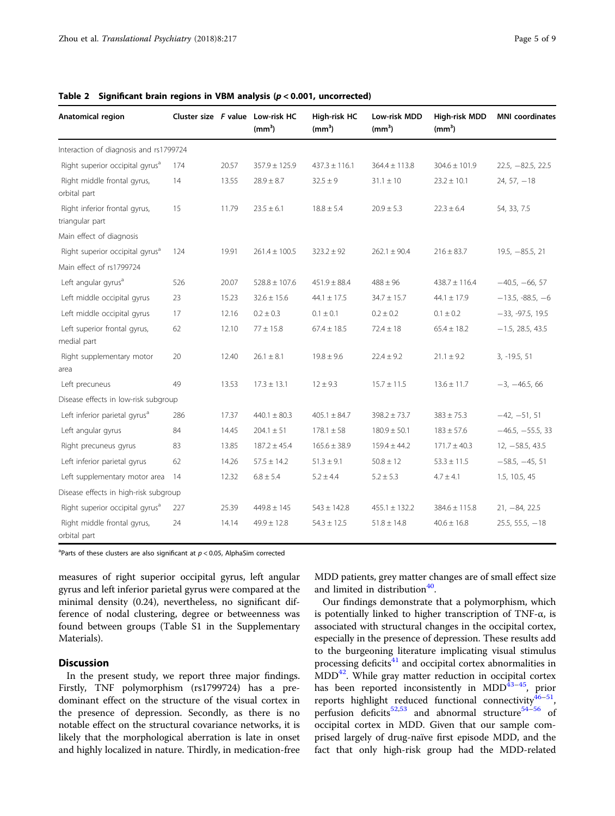| Anatomical region                                |     |       | Cluster size F value Low-risk HC<br>(mm <sup>3</sup> ) | High-risk HC<br>(mm <sup>3</sup> ) | Low-risk MDD<br>(mm <sup>3</sup> ) | High-risk MDD<br>(mm <sup>3</sup> ) | <b>MNI</b> coordinates |
|--------------------------------------------------|-----|-------|--------------------------------------------------------|------------------------------------|------------------------------------|-------------------------------------|------------------------|
| Interaction of diagnosis and rs1799724           |     |       |                                                        |                                    |                                    |                                     |                        |
| Right superior occipital gyrus <sup>a</sup>      | 174 | 20.57 | $357.9 \pm 125.9$                                      | $437.3 \pm 116.1$                  | $364.4 \pm 113.8$                  | $304.6 \pm 101.9$                   | $22.5, -82.5, 22.5$    |
| Right middle frontal gyrus,<br>orbital part      | 14  | 13.55 | $28.9 \pm 8.7$                                         | $32.5 \pm 9$                       | $31.1 \pm 10$                      | $23.2 \pm 10.1$                     | $24, 57, -18$          |
| Right inferior frontal gyrus,<br>triangular part | 15  | 11.79 | $23.5 \pm 6.1$                                         | $18.8 \pm 5.4$                     | $20.9 \pm 5.3$                     | $22.3 \pm 6.4$                      | 54, 33, 7.5            |
| Main effect of diagnosis                         |     |       |                                                        |                                    |                                    |                                     |                        |
| Right superior occipital gyrus <sup>a</sup>      | 124 | 19.91 | $261.4 \pm 100.5$                                      | $323.2 \pm 92$                     | $262.1 \pm 90.4$                   | $216 \pm 83.7$                      | $19.5, -85.5, 21$      |
| Main effect of rs1799724                         |     |       |                                                        |                                    |                                    |                                     |                        |
| Left angular gyrus <sup>a</sup>                  | 526 | 20.07 | $528.8 \pm 107.6$                                      | $451.9 \pm 88.4$                   | $488 \pm 96$                       | $438.7 \pm 116.4$                   | $-40.5, -66, 57$       |
| Left middle occipital gyrus                      | 23  | 15.23 | $32.6 \pm 15.6$                                        | $44.1 \pm 17.5$                    | $34.7 \pm 15.7$                    | $44.1 \pm 17.9$                     | $-13.5, -88.5, -6$     |
| Left middle occipital gyrus                      | 17  | 12.16 | $0.2 \pm 0.3$                                          | $0.1 \pm 0.1$                      | $0.2 \pm 0.2$                      | $0.1 \pm 0.2$                       | $-33, -97.5, 19.5$     |
| Left superior frontal gyrus,<br>medial part      | 62  | 12.10 | $77 \pm 15.8$                                          | $67.4 \pm 18.5$                    | $72.4 \pm 18$                      | $65.4 \pm 18.2$                     | $-1.5, 28.5, 43.5$     |
| Right supplementary motor<br>area                | 20  | 12.40 | $26.1\pm8.1$                                           | $19.8 \pm 9.6$                     | $22.4 \pm 9.2$                     | $21.1 \pm 9.2$                      | $3, -19.5, 51$         |
| Left precuneus                                   | 49  | 13.53 | $17.3 \pm 13.1$                                        | $12 \pm 9.3$                       | $15.7 \pm 11.5$                    | $13.6 \pm 11.7$                     | $-3, -46.5, 66$        |
| Disease effects in low-risk subgroup             |     |       |                                                        |                                    |                                    |                                     |                        |
| Left inferior parietal gyrus <sup>a</sup>        | 286 | 17.37 | $440.1 \pm 80.3$                                       | $405.1 \pm 84.7$                   | $398.2 \pm 73.7$                   | $383 \pm 75.3$                      | $-42, -51, 51$         |
| Left angular gyrus                               | 84  | 14.45 | $204.1 \pm 51$                                         | $178.1 \pm 58$                     | $180.9 \pm 50.1$                   | $183 \pm 57.6$                      | $-46.5, -55.5, 33$     |
| Right precuneus gyrus                            | 83  | 13.85 | $187.2 \pm 45.4$                                       | $165.6 \pm 38.9$                   | $159.4 \pm 44.2$                   | $171.7 \pm 40.3$                    | $12, -58.5, 43.5$      |
| Left inferior parietal gyrus                     | 62  | 14.26 | $57.5 \pm 14.2$                                        | $51.3 \pm 9.1$                     | $50.8 \pm 12$                      | $53.3 \pm 11.5$                     | $-58.5, -45, 51$       |
| Left supplementary motor area                    | 14  | 12.32 | $6.8 \pm 5.4$                                          | $5.2 \pm 4.4$                      | $5.2 \pm 5.3$                      | $4.7 \pm 4.1$                       | 1.5, 10.5, 45          |
| Disease effects in high-risk subgroup            |     |       |                                                        |                                    |                                    |                                     |                        |
| Right superior occipital gyrus <sup>a</sup>      | 227 | 25.39 | $449.8 \pm 145$                                        | $543 \pm 142.8$                    | $455.1 \pm 132.2$                  | $384.6 \pm 115.8$                   | $21, -84, 22.5$        |
| Right middle frontal gyrus,<br>orbital part      | 24  | 14.14 | $49.9 \pm 12.8$                                        | $54.3 \pm 12.5$                    | $51.8 \pm 14.8$                    | $40.6 \pm 16.8$                     | $25.5, 55.5, -18$      |

<span id="page-6-0"></span>Table 2 Significant brain regions in VBM analysis ( $p < 0.001$ , uncorrected)

<sup>a</sup>Parts of these clusters are also significant at  $p < 0.05$ , AlphaSim corrected

measures of right superior occipital gyrus, left angular gyrus and left inferior parietal gyrus were compared at the minimal density (0.24), nevertheless, no significant difference of nodal clustering, degree or betweenness was found between groups (Table S1 in the Supplementary Materials).

#### Discussion

In the present study, we report three major findings. Firstly, TNF polymorphism (rs1799724) has a predominant effect on the structure of the visual cortex in the presence of depression. Secondly, as there is no notable effect on the structural covariance networks, it is likely that the morphological aberration is late in onset and highly localized in nature. Thirdly, in medication-free MDD patients, grey matter changes are of small effect size and limited in distribution $40$ .

Our findings demonstrate that a polymorphism, which is potentially linked to higher transcription of TNF- $\alpha$ , is associated with structural changes in the occipital cortex, especially in the presence of depression. These results add to the burgeoning literature implicating visual stimulus processing deficits<sup>[41](#page-9-0)</sup> and occipital cortex abnormalities in  $MDD<sup>42</sup>$  $MDD<sup>42</sup>$  $MDD<sup>42</sup>$ . While gray matter reduction in occipital cortex has been reported inconsistently in  $MDD<sup>43-45</sup>$  $MDD<sup>43-45</sup>$  $MDD<sup>43-45</sup>$ , prior reports highlight reduced functional connectivity<sup>[46](#page-9-0)–[51](#page-10-0)</sup>, perfusion deficits<sup>[52,53](#page-10-0)</sup> and abnormal structure<sup>[54](#page-10-0)–[56](#page-10-0)</sup> of occipital cortex in MDD. Given that our sample comprised largely of drug-naïve first episode MDD, and the fact that only high-risk group had the MDD-related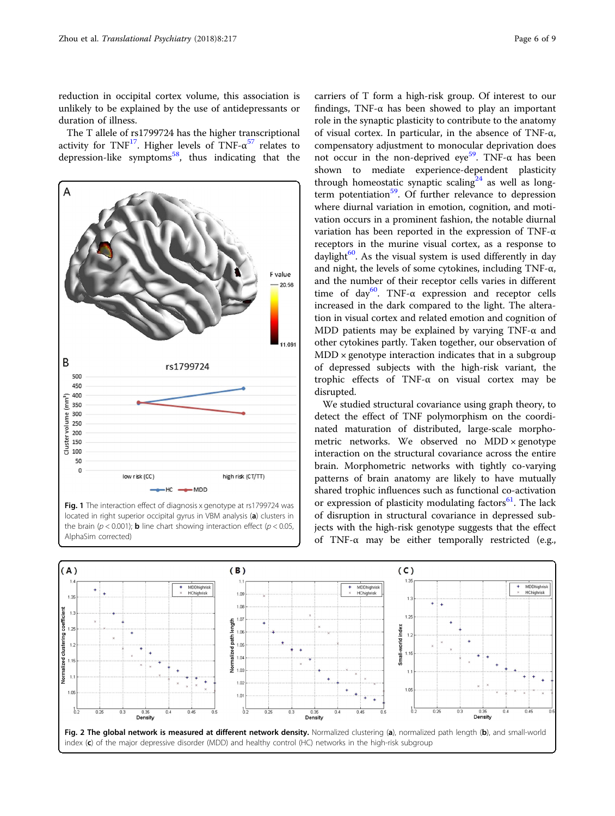<span id="page-7-0"></span>reduction in occipital cortex volume, this association is unlikely to be explained by the use of antidepressants or duration of illness.

The T allele of rs1799724 has the higher transcriptional activity for TNF<sup>17</sup>. Higher levels of TNF- $\alpha^{57}$  $\alpha^{57}$  $\alpha^{57}$  relates to depression-like symptoms $^{58}$ , thus indicating that the



Fig. 1 The interaction effect of diagnosis x genotype at rs1799724 was located in right superior occipital gyrus in VBM analysis (a) clusters in the brain ( $p < 0.001$ ); **b** line chart showing interaction effect ( $p < 0.05$ , AlphaSim corrected)

carriers of T form a high-risk group. Of interest to our findings, TNF- $\alpha$  has been showed to play an important role in the synaptic plasticity to contribute to the anatomy of visual cortex. In particular, in the absence of TNF- $\alpha$ , compensatory adjustment to monocular deprivation does not occur in the non-deprived eye<sup>[59](#page-10-0)</sup>. TNF-α has been shown to mediate experience-dependent plasticity through homeostatic synaptic scaling<sup>[24](#page-9-0)</sup> as well as long-term potentiation<sup>[59](#page-10-0)</sup>. Of further relevance to depression where diurnal variation in emotion, cognition, and motivation occurs in a prominent fashion, the notable diurnal variation has been reported in the expression of TNF-α receptors in the murine visual cortex, as a response to daylight $60$ . As the visual system is used differently in day and night, the levels of some cytokines, including TNF-α, and the number of their receptor cells varies in different time of day<sup>60</sup>. TNF- $\alpha$  expression and receptor cells increased in the dark compared to the light. The alteration in visual cortex and related emotion and cognition of MDD patients may be explained by varying  $TNF-\alpha$  and other cytokines partly. Taken together, our observation of  $MDD \times$  genotype interaction indicates that in a subgroup of depressed subjects with the high-risk variant, the trophic effects of TNF-α on visual cortex may be disrupted.

We studied structural covariance using graph theory, to detect the effect of TNF polymorphism on the coordinated maturation of distributed, large-scale morphometric networks. We observed no MDD × genotype interaction on the structural covariance across the entire brain. Morphometric networks with tightly co-varying patterns of brain anatomy are likely to have mutually shared trophic influences such as functional co-activation or expression of plasticity modulating factors<sup>61</sup>. The lack of disruption in structural covariance in depressed subjects with the high-risk genotype suggests that the effect of TNF-α may be either temporally restricted (e.g.,

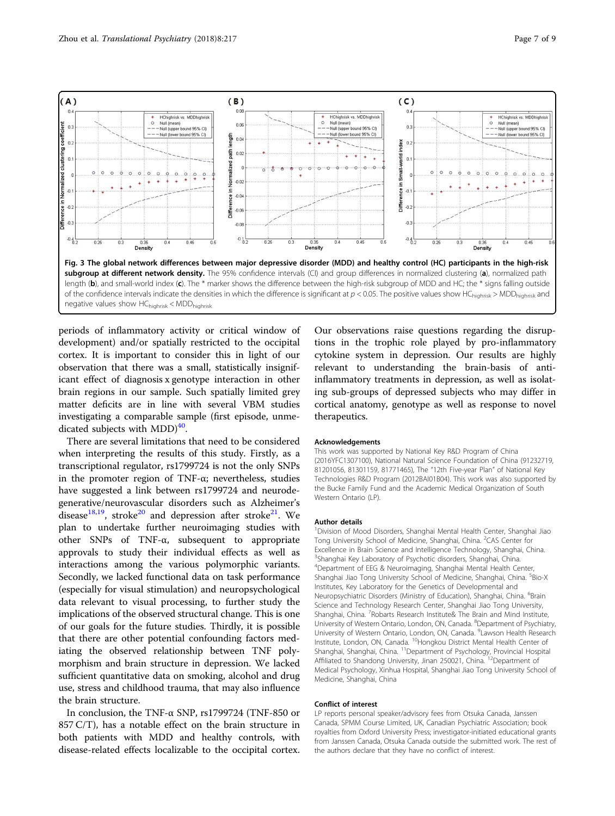<span id="page-8-0"></span>

periods of inflammatory activity or critical window of development) and/or spatially restricted to the occipital cortex. It is important to consider this in light of our observation that there was a small, statistically insignificant effect of diagnosis x genotype interaction in other brain regions in our sample. Such spatially limited grey matter deficits are in line with several VBM studies investigating a comparable sample (first episode, unmedicated subjects with  $MDD$ <sup>40</sup>.

There are several limitations that need to be considered when interpreting the results of this study. Firstly, as a transcriptional regulator, rs1799724 is not the only SNPs in the promoter region of TNF-α; nevertheless, studies have suggested a link between rs1799724 and neurodegenerative/neurovascular disorders such as Alzheimer's disease<sup>[18,19](#page-9-0)</sup>, stroke<sup>20</sup> and depression after stroke<sup>[21](#page-9-0)</sup>. We plan to undertake further neuroimaging studies with other SNPs of TNF-α, subsequent to appropriate approvals to study their individual effects as well as interactions among the various polymorphic variants. Secondly, we lacked functional data on task performance (especially for visual stimulation) and neuropsychological data relevant to visual processing, to further study the implications of the observed structural change. This is one of our goals for the future studies. Thirdly, it is possible that there are other potential confounding factors mediating the observed relationship between TNF polymorphism and brain structure in depression. We lacked sufficient quantitative data on smoking, alcohol and drug use, stress and childhood trauma, that may also influence the brain structure.

In conclusion, the TNF-α SNP, rs1799724 (TNF-850 or 857 C/T), has a notable effect on the brain structure in both patients with MDD and healthy controls, with disease-related effects localizable to the occipital cortex. Our observations raise questions regarding the disruptions in the trophic role played by pro-inflammatory cytokine system in depression. Our results are highly relevant to understanding the brain-basis of antiinflammatory treatments in depression, as well as isolating sub-groups of depressed subjects who may differ in cortical anatomy, genotype as well as response to novel therapeutics.

#### Acknowledgements

This work was supported by National Key R&D Program of China (2016YFC1307100), National Natural Science Foundation of China (91232719, 81201056, 81301159, 81771465), The "12th Five-year Plan" of National Key Technologies R&D Program (2012BAI01B04). This work was also supported by the Bucke Family Fund and the Academic Medical Organization of South Western Ontario (LP).

#### Author details

<sup>1</sup> Division of Mood Disorders, Shanghai Mental Health Center, Shanghai Jiao Tong University School of Medicine, Shanghai, China. <sup>2</sup>CAS Center for Excellence in Brain Science and Intelligence Technology, Shanghai, China. <sup>3</sup>Shanghai Key Laboratory of Psychotic disorders, Shanghai, China. 4 Department of EEG & Neuroimaging, Shanghai Mental Health Center, Shanghai Jiao Tong University School of Medicine, Shanghai, China. <sup>5</sup>Bio-X Institutes, Key Laboratory for the Genetics of Developmental and Neuropsychiatric Disorders (Ministry of Education), Shanghai, China. <sup>6</sup>Brain Science and Technology Research Center, Shanghai Jiao Tong University, Shanghai, China. <sup>7</sup> Robarts Research Institute& The Brain and Mind Institute University of Western Ontario, London, ON, Canada. <sup>8</sup>Department of Psychiatry University of Western Ontario, London, ON, Canada. <sup>9</sup> Lawson Health Research Institute, London, ON, Canada. <sup>10</sup>Hongkou District Mental Health Center of Shanghai, Shanghai, China. 11Department of Psychology, Provincial Hospital Affiliated to Shandong University, Jinan 250021, China. <sup>12</sup>Department of Medical Psychology, Xinhua Hospital, Shanghai Jiao Tong University School of Medicine, Shanghai, China

#### Conflict of interest

LP reports personal speaker/advisory fees from Otsuka Canada, Janssen Canada, SPMM Course Limited, UK, Canadian Psychiatric Association; book royalties from Oxford University Press; investigator-initiated educational grants from Janssen Canada, Otsuka Canada outside the submitted work. The rest of the authors declare that they have no conflict of interest.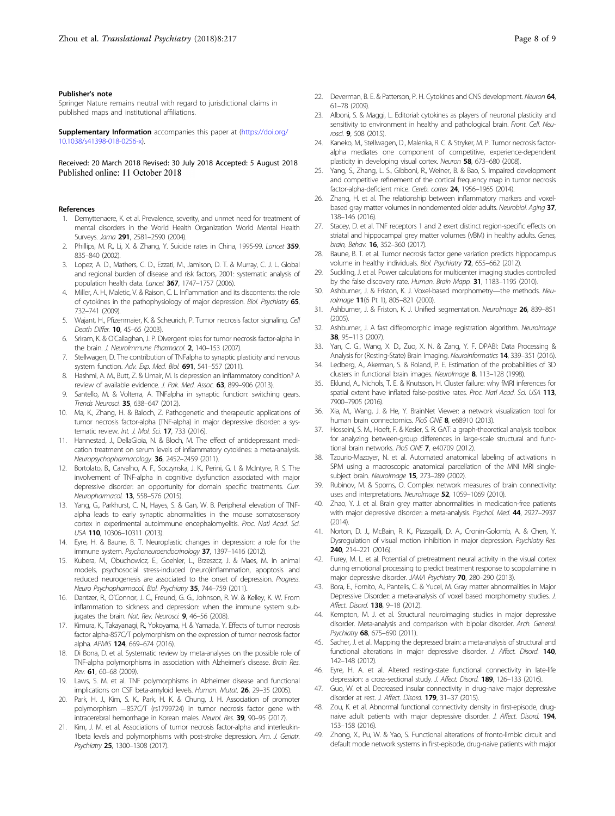#### <span id="page-9-0"></span>Publisher's note

Springer Nature remains neutral with regard to jurisdictional claims in published maps and institutional affiliations.

Supplementary Information accompanies this paper at ([https://doi.org/](https://doi.org/10.1038/s41398-018-0256-x) [10.1038/s41398-018-0256-x](https://doi.org/10.1038/s41398-018-0256-x)).

Received: 20 March 2018 Revised: 30 July 2018 Accepted: 5 August 2018 Published online: 11 October 2018

#### References

- 1. Demyttenaere, K. et al. Prevalence, severity, and unmet need for treatment of mental disorders in the World Health Organization World Mental Health Surveys. Jama 291, 2581-2590 (2004).
- 2. Phillips, M. R., Li, X. & Zhang, Y. Suicide rates in China, 1995-99. Lancet 359, 835–840 (2002).
- 3. Lopez, A. D., Mathers, C. D., Ezzati, M., Jamison, D. T. & Murray, C. J. L. Global and regional burden of disease and risk factors, 2001: systematic analysis of population health data. Lancet 367, 1747–1757 (2006).
- Miller, A. H., Maletic, V. & Raison, C. L. Inflammation and its discontents: the role of cytokines in the pathophysiology of major depression. Biol. Psychiatry 65, 732–741 (2009).
- 5. Wajant, H., Pfizenmaier, K. & Scheurich, P. Tumor necrosis factor signaling. Cell Death Differ. 10, 45–65 (2003).
- 6. Sriram, K. & O'Callaghan, J. P. Divergent roles for tumor necrosis factor-alpha in the brain. J. Neurolmmune Pharmacol. 2, 140-153 (2007).
- 7. Stellwagen, D. The contribution of TNFalpha to synaptic plasticity and nervous system function. Adv. Exp. Med. Biol. 691, 541-557 (2011).
- 8. Hashmi, A. M., Butt, Z. & Umair, M. Is depression an inflammatory condition? A review of available evidence. J. Pak. Med. Assoc. 63, 899-906 (2013).
- 9. Santello, M. & Volterra, A. TNFalpha in synaptic function: switching gears. Trends Neurosci. 35, 638–647 (2012).
- 10. Ma, K., Zhang, H. & Baloch, Z. Pathogenetic and therapeutic applications of tumor necrosis factor-alpha (TNF-alpha) in major depressive disorder: a systematic review. Int. J. Mol. Sci. 17, 733 (2016).
- 11. Hannestad, J., DellaGioia, N. & Bloch, M. The effect of antidepressant medication treatment on serum levels of inflammatory cytokines: a meta-analysis. Neuropsychopharmacology. 36, 2452–2459 (2011).
- 12. Bortolato, B., Carvalho, A. F., Soczynska, J. K., Perini, G. I. & McIntyre, R. S. The involvement of TNF-alpha in cognitive dysfunction associated with major depressive disorder: an opportunity for domain specific treatments. Curr. Neuropharmacol. 13, 558–576 (2015).
- 13. Yang, G., Parkhurst, C. N., Hayes, S. & Gan, W. B. Peripheral elevation of TNFalpha leads to early synaptic abnormalities in the mouse somatosensory cortex in experimental autoimmune encephalomyelitis. Proc. Natl Acad. Sci. USA 110, 10306–10311 (2013).
- 14. Eyre, H. & Baune, B. T. Neuroplastic changes in depression: a role for the immune system. Psychoneuroendocrinology 37, 1397-1416 (2012).
- 15. Kubera, M., Obuchowicz, E., Goehler, L., Brzeszcz, J. & Maes, M. In animal models, psychosocial stress-induced (neuro)inflammation, apoptosis and reduced neurogenesis are associated to the onset of depression. Progress. Neuro Psychopharmacol. Biol. Psychiatry 35, 744–759 (2011).
- 16. Dantzer, R., O'Connor, J. C., Freund, G. G., Johnson, R. W. & Kelley, K. W. From inflammation to sickness and depression: when the immune system subjugates the brain. Nat. Rev. Neurosci. 9, 46-56 (2008).
- Kimura, K., Takayanagi, R., Yokoyama, H. & Yamada, Y. Effects of tumor necrosis factor alpha-857C/T polymorphism on the expression of tumor necrosis factor alpha. APMIS 124, 669-674 (2016).
- 18. Di Bona, D. et al. Systematic review by meta-analyses on the possible role of TNF-alpha polymorphisms in association with Alzheimer's disease. Brain Res. Rev. 61, 60–68 (2009).
- 19. Laws, S. M. et al. TNF polymorphisms in Alzheimer disease and functional implications on CSF beta-amyloid levels. Human. Mutat. 26, 29-35 (2005).
- 20. Park, H. J., Kim, S. K., Park, H. K. & Chung, J. H. Association of promoter polymorphism -857C/T (rs1799724) in tumor necrosis factor gene with intracerebral hemorrhage in Korean males. Neurol. Res. 39, 90–95 (2017).
- 21. Kim, J. M. et al. Associations of tumor necrosis factor-alpha and interleukin-1beta levels and polymorphisms with post-stroke depression. Am. J. Geriatr. Psychiatry 25, 1300–1308 (2017).
- 23. Alboni, S. & Maggi, L. Editorial: cytokines as players of neuronal plasticity and sensitivity to environment in healthy and pathological brain. Front. Cell. Neurosci. 9, 508 (2015).
- 24. Kaneko, M., Stellwagen, D., Malenka, R. C. & Stryker, M. P. Tumor necrosis factoralpha mediates one component of competitive, experience-dependent plasticity in developing visual cortex. Neuron 58, 673–680 (2008).
- 25. Yang, S., Zhang, L. S., Gibboni, R., Weiner, B. & Bao, S. Impaired development and competitive refinement of the cortical frequency map in tumor necrosis factor-alpha-deficient mice. Cereb. cortex 24, 1956-1965 (2014).
- 26. Zhang, H. et al. The relationship between inflammatory markers and voxelbased gray matter volumes in nondemented older adults. Neurobiol. Aging 37, 138–146 (2016).
- 27. Stacey, D. et al. TNF receptors 1 and 2 exert distinct region-specific effects on striatal and hippocampal grey matter volumes (VBM) in healthy adults. Genes, brain, Behav. 16, 352–360 (2017).
- 28. Baune, B. T. et al. Tumor necrosis factor gene variation predicts hippocampus volume in healthy individuals. Biol. Psychiatry 72, 655–662 (2012).
- 29. Suckling, J. et al. Power calculations for multicenter imaging studies controlled by the false discovery rate. Human. Brain Mapp. 31, 1183-1195 (2010).
- Ashburner, J. & Friston, K. J. Voxel-based morphometry—the methods. NeuroImage 11(6 Pt 1), 805–821 (2000).
- 31. Ashburner, J. & Friston, K. J. Unified segmentation. Neurolmage 26, 839-851  $(2005)$
- 32. Ashburner, J. A fast diffeomorphic image registration algorithm. Neurolmage 38, 95–113 (2007).
- 33. Yan, C. G., Wang, X. D., Zuo, X. N. & Zang, Y. F. DPABI: Data Processing & Analysis for (Resting-State) Brain Imaging. Neuroinformatics 14, 339–351 (2016).
- 34. Ledberg, A., Akerman, S. & Roland, P. E. Estimation of the probabilities of 3D clusters in functional brain images. NeuroImage 8, 113-128 (1998).
- 35. Eklund, A., Nichols, T. E. & Knutsson, H. Cluster failure: why fMRI inferences for spatial extent have inflated false-positive rates. Proc. Natl Acad. Sci. USA 113, 7900–7905 (2016).
- 36. Xia, M., Wang, J. & He, Y. BrainNet Viewer: a network visualization tool for human brain connectomics. PloS ONE 8, e68910 (2013).
- 37. Hosseini, S. M., Hoeft, F. & Kesler, S. R. GAT: a graph-theoretical analysis toolbox for analyzing between-group differences in large-scale structural and functional brain networks. PloS ONE 7, e40709 (2012).
- 38. Tzourio-Mazoyer, N. et al. Automated anatomical labeling of activations in SPM using a macroscopic anatomical parcellation of the MNI MRI singlesubject brain. NeuroImage 15, 273-289 (2002).
- 39. Rubinov, M. & Sporns, O. Complex network measures of brain connectivity: uses and interpretations. Neurolmage 52, 1059-1069 (2010).
- 40. Zhao, Y. J. et al. Brain grey matter abnormalities in medication-free patients with major depressive disorder: a meta-analysis. Psychol. Med. 44, 2927–2937 (2014).
- 41. Norton, D. J., McBain, R. K., Pizzagalli, D. A., Cronin-Golomb, A. & Chen, Y. Dysregulation of visual motion inhibition in major depression. Psychiatry Res. 240, 214–221 (2016).
- 42. Furey, M. L. et al. Potential of pretreatment neural activity in the visual cortex during emotional processing to predict treatment response to scopolamine in major depressive disorder. JAMA Psychiatry 70, 280-290 (2013).
- 43. Bora, E., Fornito, A., Pantelis, C. & Yucel, M. Gray matter abnormalities in Major Depressive Disorder: a meta-analysis of voxel based morphometry studies. J. Affect. Disord. 138, 9-18 (2012).
- Kempton, M. J. et al. Structural neuroimaging studies in major depressive disorder. Meta-analysis and comparison with bipolar disorder. Arch. General. Psychiatry 68, 675–690 (2011).
- 45. Sacher, J. et al. Mapping the depressed brain: a meta-analysis of structural and functional alterations in major depressive disorder. J. Affect. Disord. 140, 142–148 (2012).
- 46. Eyre, H. A. et al. Altered resting-state functional connectivity in late-life depression: a cross-sectional study. J. Affect. Disord. 189, 126-133 (2016).
- 47. Guo, W. et al. Decreased insular connectivity in drug-naive major depressive disorder at rest. J. Affect. Disord. 179, 31-37 (2015).
- 48. Zou, K. et al. Abnormal functional connectivity density in first-episode, drugnaive adult patients with major depressive disorder. J. Affect. Disord. 194, 153–158 (2016).
- 49. Zhong, X., Pu, W. & Yao, S. Functional alterations of fronto-limbic circuit and default mode network systems in first-episode, drug-naive patients with major